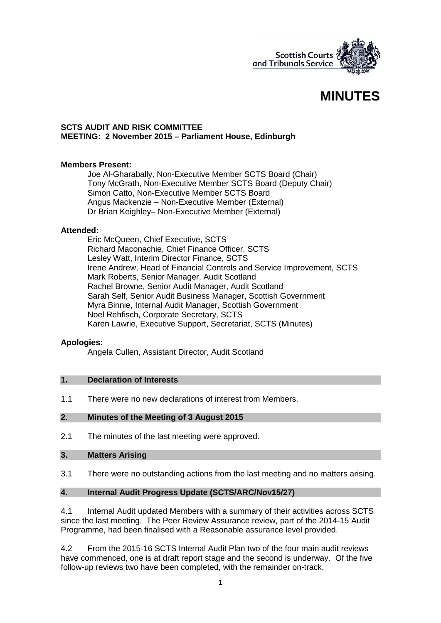

# **MINUTES**

#### **SCTS AUDIT AND RISK COMMITTEE MEETING: 2 November 2015 – Parliament House, Edinburgh**

## **Members Present:**

Joe Al-Gharabally, Non-Executive Member SCTS Board (Chair) Tony McGrath, Non-Executive Member SCTS Board (Deputy Chair) Simon Catto, Non-Executive Member SCTS Board Angus Mackenzie – Non-Executive Member (External) Dr Brian Keighley– Non-Executive Member (External)

#### **Attended:**

Eric McQueen, Chief Executive, SCTS Richard Maconachie, Chief Finance Officer, SCTS Lesley Watt, Interim Director Finance, SCTS Irene Andrew, Head of Financial Controls and Service Improvement, SCTS Mark Roberts, Senior Manager, Audit Scotland Rachel Browne, Senior Audit Manager, Audit Scotland Sarah Self, Senior Audit Business Manager, Scottish Government Myra Binnie, Internal Audit Manager, Scottish Government Noel Rehfisch, Corporate Secretary, SCTS Karen Lawrie, Executive Support, Secretariat, SCTS (Minutes)

## **Apologies:**

Angela Cullen, Assistant Director, Audit Scotland

## **1. Declaration of Interests**

1.1 There were no new declarations of interest from Members.

## **2. Minutes of the Meeting of 3 August 2015**

2.1 The minutes of the last meeting were approved.

#### **3. Matters Arising**

3.1 There were no outstanding actions from the last meeting and no matters arising.

#### **4. Internal Audit Progress Update (SCTS/ARC/Nov15/27)**

4.1 Internal Audit updated Members with a summary of their activities across SCTS since the last meeting. The Peer Review Assurance review, part of the 2014-15 Audit Programme, had been finalised with a Reasonable assurance level provided.

4.2 From the 2015-16 SCTS Internal Audit Plan two of the four main audit reviews have commenced, one is at draft report stage and the second is underway. Of the five follow-up reviews two have been completed, with the remainder on-track.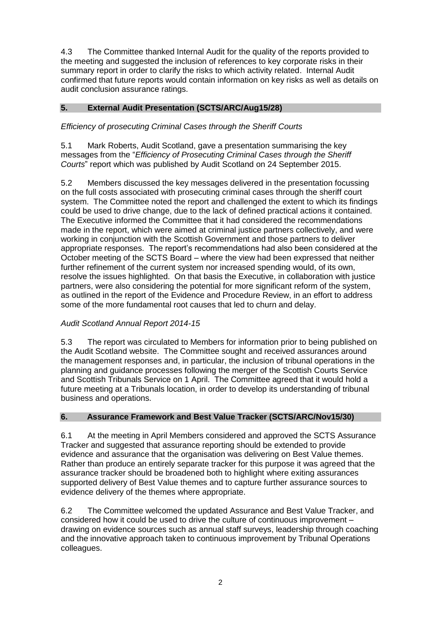4.3 The Committee thanked Internal Audit for the quality of the reports provided to the meeting and suggested the inclusion of references to key corporate risks in their summary report in order to clarify the risks to which activity related. Internal Audit confirmed that future reports would contain information on key risks as well as details on audit conclusion assurance ratings.

# **5. External Audit Presentation (SCTS/ARC/Aug15/28)**

# *Efficiency of prosecuting Criminal Cases through the Sheriff Courts*

5.1 Mark Roberts, Audit Scotland, gave a presentation summarising the key messages from the "*Efficiency of Prosecuting Criminal Cases through the Sheriff Courts*" report which was published by Audit Scotland on 24 September 2015.

5.2 Members discussed the key messages delivered in the presentation focussing on the full costs associated with prosecuting criminal cases through the sheriff court system. The Committee noted the report and challenged the extent to which its findings could be used to drive change, due to the lack of defined practical actions it contained. The Executive informed the Committee that it had considered the recommendations made in the report, which were aimed at criminal justice partners collectively, and were working in conjunction with the Scottish Government and those partners to deliver appropriate responses. The report's recommendations had also been considered at the October meeting of the SCTS Board – where the view had been expressed that neither further refinement of the current system nor increased spending would, of its own, resolve the issues highlighted. On that basis the Executive, in collaboration with justice partners, were also considering the potential for more significant reform of the system, as outlined in the report of the Evidence and Procedure Review, in an effort to address some of the more fundamental root causes that led to churn and delay.

# *Audit Scotland Annual Report 2014-15*

5.3 The report was circulated to Members for information prior to being published on the Audit Scotland website. The Committee sought and received assurances around the management responses and, in particular, the inclusion of tribunal operations in the planning and guidance processes following the merger of the Scottish Courts Service and Scottish Tribunals Service on 1 April. The Committee agreed that it would hold a future meeting at a Tribunals location, in order to develop its understanding of tribunal business and operations.

## **6. Assurance Framework and Best Value Tracker (SCTS/ARC/Nov15/30)**

6.1 At the meeting in April Members considered and approved the SCTS Assurance Tracker and suggested that assurance reporting should be extended to provide evidence and assurance that the organisation was delivering on Best Value themes. Rather than produce an entirely separate tracker for this purpose it was agreed that the assurance tracker should be broadened both to highlight where exiting assurances supported delivery of Best Value themes and to capture further assurance sources to evidence delivery of the themes where appropriate.

6.2 The Committee welcomed the updated Assurance and Best Value Tracker, and considered how it could be used to drive the culture of continuous improvement – drawing on evidence sources such as annual staff surveys, leadership through coaching and the innovative approach taken to continuous improvement by Tribunal Operations colleagues.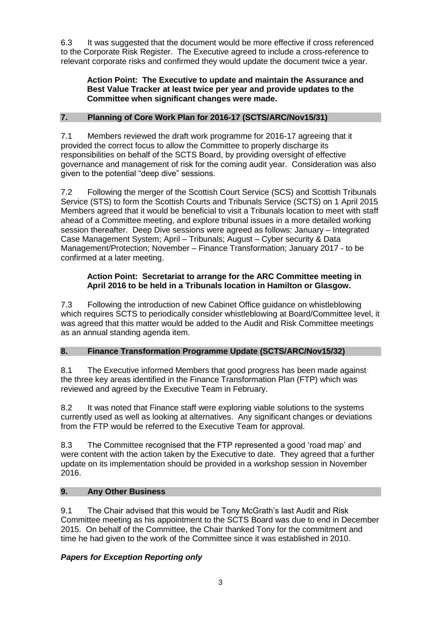6.3 It was suggested that the document would be more effective if cross referenced to the Corporate Risk Register. The Executive agreed to include a cross-reference to relevant corporate risks and confirmed they would update the document twice a year.

## **Action Point: The Executive to update and maintain the Assurance and Best Value Tracker at least twice per year and provide updates to the Committee when significant changes were made.**

# **7. Planning of Core Work Plan for 2016-17 (SCTS/ARC/Nov15/31)**

7.1 Members reviewed the draft work programme for 2016-17 agreeing that it provided the correct focus to allow the Committee to properly discharge its responsibilities on behalf of the SCTS Board, by providing oversight of effective governance and management of risk for the coming audit year. Consideration was also given to the potential "deep dive" sessions.

7.2 Following the merger of the Scottish Court Service (SCS) and Scottish Tribunals Service (STS) to form the Scottish Courts and Tribunals Service (SCTS) on 1 April 2015 Members agreed that it would be beneficial to visit a Tribunals location to meet with staff ahead of a Committee meeting, and explore tribunal issues in a more detailed working session thereafter. Deep Dive sessions were agreed as follows: January – Integrated Case Management System; April – Tribunals; August – Cyber security & Data Management/Protection; November – Finance Transformation; January 2017 - to be confirmed at a later meeting.

# **Action Point: Secretariat to arrange for the ARC Committee meeting in April 2016 to be held in a Tribunals location in Hamilton or Glasgow.**

7.3 Following the introduction of new Cabinet Office guidance on whistleblowing which requires SCTS to periodically consider whistleblowing at Board/Committee level, it was agreed that this matter would be added to the Audit and Risk Committee meetings as an annual standing agenda item.

# **8. Finance Transformation Programme Update (SCTS/ARC/Nov15/32)**

8.1 The Executive informed Members that good progress has been made against the three key areas identified in the Finance Transformation Plan (FTP) which was reviewed and agreed by the Executive Team in February.

8.2 It was noted that Finance staff were exploring viable solutions to the systems currently used as well as looking at alternatives. Any significant changes or deviations from the FTP would be referred to the Executive Team for approval.

8.3 The Committee recognised that the FTP represented a good 'road map' and were content with the action taken by the Executive to date. They agreed that a further update on its implementation should be provided in a workshop session in November 2016.

# **9. Any Other Business**

9.1 The Chair advised that this would be Tony McGrath's last Audit and Risk Committee meeting as his appointment to the SCTS Board was due to end in December 2015. On behalf of the Committee, the Chair thanked Tony for the commitment and time he had given to the work of the Committee since it was established in 2010.

# *Papers for Exception Reporting only*